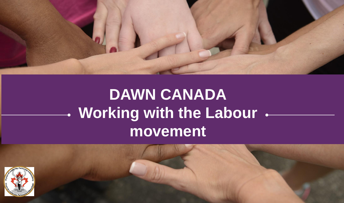

# **DAWN CANADA Working with the Labour movement**

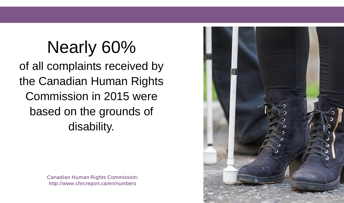# Nearly 60%

of all complaints received by the Canadian Human Rights Commission in 2015 were based on the grounds of disability.

> Canadian Human Rights Commission: http://www.chrcreport.ca/en/numbers

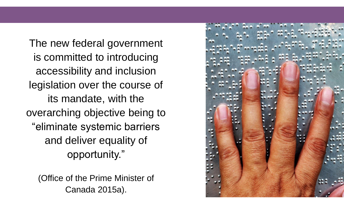The new federal government is committed to introducing accessibility and inclusion legislation over the course of its mandate, with the overarching objective being to "eliminate systemic barriers and deliver equality of opportunity."

(Office of the Prime Minister of Canada 2015a).

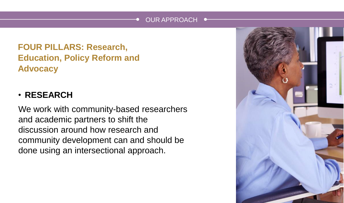## **FOUR PILLARS: Research, Education, Policy Reform and Advocacy**

## • **RESEARCH**

We work with community-based researchers and academic partners to shift the discussion around how research and community development can and should be done using an intersectional approach.

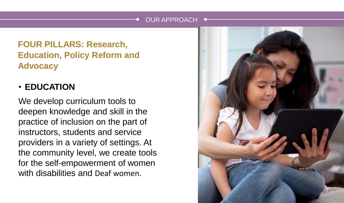#### OUR APPROACH

## **FOUR PILLARS: Research, Education, Policy Reform and Advocacy**

# • **EDUCATION**

We develop curriculum tools to deepen knowledge and skill in the practice of inclusion on the part of instructors, students and service providers in a variety of settings. At the community level, we create tools for the self-empowerment of women with disabilities and Deaf women.

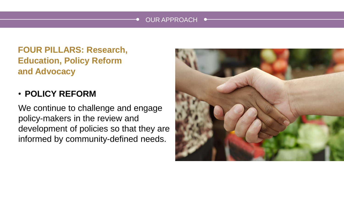#### OUR APPROACH

**FOUR PILLARS: Research, Education, Policy Reform and Advocacy**

### • **POLICY REFORM**

We continue to challenge and engage policy-makers in the review and development of policies so that they are informed by community-defined needs.

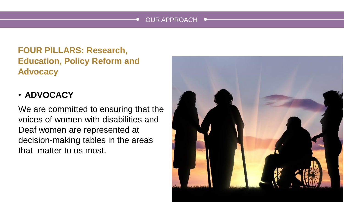**FOUR PILLARS: Research, Education, Policy Reform and Advocacy**

### • **ADVOCACY**

We are committed to ensuring that the voices of women with disabilities and Deaf women are represented at decision-making tables in the areas that matter to us most.

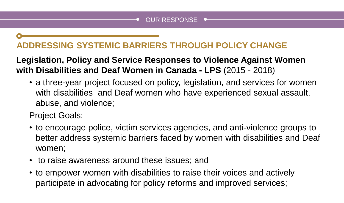## **ADDRESSING SYSTEMIC BARRIERS THROUGH POLICY CHANGE**

## **Legislation, Policy and Service Responses to Violence Against Women with Disabilities and Deaf Women in Canada - LPS** (2015 - 2018)

• a three-year project focused on policy, legislation, and services for women with disabilities and Deaf women who have experienced sexual assault, abuse, and violence;

Project Goals:

- to encourage police, victim services agencies, and anti-violence groups to better address systemic barriers faced by women with disabilities and Deaf women;
- to raise awareness around these issues; and
- to empower women with disabilities to raise their voices and actively participate in advocating for policy reforms and improved services;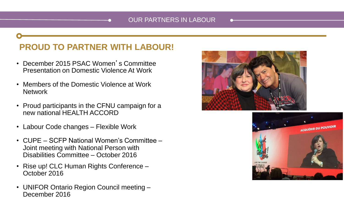## **PROUD TO PARTNER WITH LABOUR!**

- December 2015 PSAC Women's Committee Presentation on Domestic Violence At Work
- Members of the Domestic Violence at Work **Network**
- Proud participants in the CFNU campaign for a new national HEALTH ACCORD
- Labour Code changes Flexible Work
- CUPE SCFP National Women's Committee Joint meeting with National Person with Disabilities Committee – October 2016
- Rise up! CLC Human Rights Conference October 2016
- UNIFOR Ontario Region Council meeting December 2016